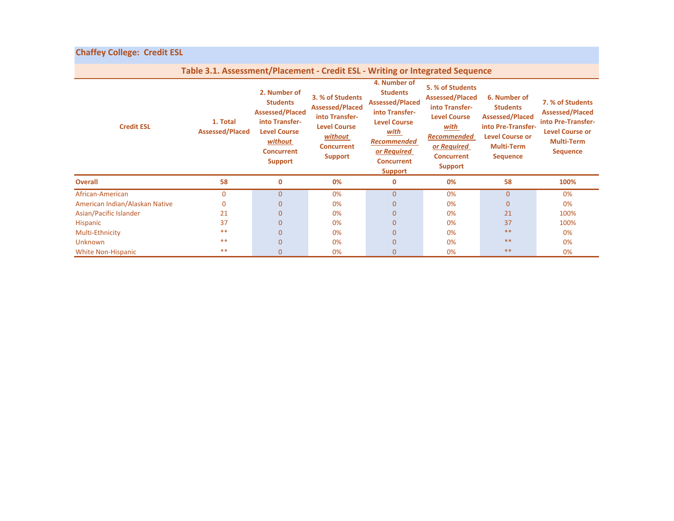## **Chaffey College: Credit ESL**

| Table 3.1. Assessment/Placement - Credit ESL - Writing or Integrated Sequence |                                    |                                                                                                                                                      |                                                                                                                                       |                                                                                                                                                                                               |                                                                                                                                                                         |                                                                                                                                                   |                                                                                                                                    |  |  |  |  |
|-------------------------------------------------------------------------------|------------------------------------|------------------------------------------------------------------------------------------------------------------------------------------------------|---------------------------------------------------------------------------------------------------------------------------------------|-----------------------------------------------------------------------------------------------------------------------------------------------------------------------------------------------|-------------------------------------------------------------------------------------------------------------------------------------------------------------------------|---------------------------------------------------------------------------------------------------------------------------------------------------|------------------------------------------------------------------------------------------------------------------------------------|--|--|--|--|
| <b>Credit ESL</b>                                                             | 1. Total<br><b>Assessed/Placed</b> | 2. Number of<br><b>Students</b><br><b>Assessed/Placed</b><br>into Transfer-<br><b>Level Course</b><br>without<br><b>Concurrent</b><br><b>Support</b> | 3. % of Students<br><b>Assessed/Placed</b><br>into Transfer-<br><b>Level Course</b><br>without<br><b>Concurrent</b><br><b>Support</b> | 4. Number of<br><b>Students</b><br><b>Assessed/Placed</b><br>into Transfer-<br><b>Level Course</b><br><u>with</u><br><b>Recommended</b><br>or Required<br><b>Concurrent</b><br><b>Support</b> | 5. % of Students<br><b>Assessed/Placed</b><br>into Transfer-<br><b>Level Course</b><br>with<br><b>Recommended</b><br>or Required<br><b>Concurrent</b><br><b>Support</b> | 6. Number of<br><b>Students</b><br><b>Assessed/Placed</b><br>into Pre-Transfer-<br><b>Level Course or</b><br><b>Multi-Term</b><br><b>Sequence</b> | 7. % of Students<br><b>Assessed/Placed</b><br>into Pre-Transfer-<br><b>Level Course or</b><br><b>Multi-Term</b><br><b>Sequence</b> |  |  |  |  |
| <b>Overall</b>                                                                | 58                                 | $\mathbf 0$                                                                                                                                          | 0%                                                                                                                                    | $\mathbf 0$                                                                                                                                                                                   | 0%                                                                                                                                                                      | 58                                                                                                                                                | 100%                                                                                                                               |  |  |  |  |
| African-American                                                              | $\Omega$                           | $\mathbf{0}$                                                                                                                                         | 0%                                                                                                                                    | $\overline{0}$                                                                                                                                                                                | 0%                                                                                                                                                                      | $\overline{0}$                                                                                                                                    | 0%                                                                                                                                 |  |  |  |  |
| American Indian/Alaskan Native                                                | 0                                  | $\mathbf{0}$                                                                                                                                         | 0%                                                                                                                                    | $\Omega$                                                                                                                                                                                      | 0%                                                                                                                                                                      | 0                                                                                                                                                 | 0%                                                                                                                                 |  |  |  |  |
| Asian/Pacific Islander                                                        | 21                                 | $\mathbf{0}$                                                                                                                                         | 0%                                                                                                                                    | $\Omega$                                                                                                                                                                                      | 0%                                                                                                                                                                      | 21                                                                                                                                                | 100%                                                                                                                               |  |  |  |  |
| Hispanic                                                                      | 37                                 | $\mathbf{0}$                                                                                                                                         | 0%                                                                                                                                    | $\Omega$                                                                                                                                                                                      | 0%                                                                                                                                                                      | 37                                                                                                                                                | 100%                                                                                                                               |  |  |  |  |
| Multi-Ethnicity                                                               | $***$                              | $\mathbf{0}$                                                                                                                                         | 0%                                                                                                                                    | $\Omega$                                                                                                                                                                                      | 0%                                                                                                                                                                      | **                                                                                                                                                | 0%                                                                                                                                 |  |  |  |  |
| <b>Unknown</b>                                                                | $***$                              | $\mathbf{0}$                                                                                                                                         | 0%                                                                                                                                    | 0                                                                                                                                                                                             | 0%                                                                                                                                                                      | $**$                                                                                                                                              | 0%                                                                                                                                 |  |  |  |  |
| <b>White Non-Hispanic</b>                                                     | $**$                               | $\Omega$                                                                                                                                             | 0%                                                                                                                                    | $\Omega$                                                                                                                                                                                      | 0%                                                                                                                                                                      | $**$                                                                                                                                              | 0%                                                                                                                                 |  |  |  |  |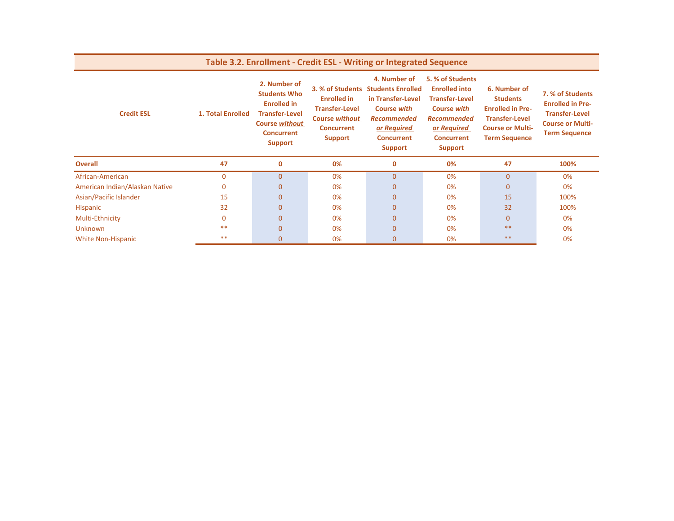| Table 3.2. Enrollment - Credit ESL - Writing or Integrated Sequence |                   |                                                                                                                                                    |                                                                                                                                 |                                                                                                                                                                 |                                                                                                                                                                     |                                                                                                                                        |                                                                                                                         |  |  |  |  |
|---------------------------------------------------------------------|-------------------|----------------------------------------------------------------------------------------------------------------------------------------------------|---------------------------------------------------------------------------------------------------------------------------------|-----------------------------------------------------------------------------------------------------------------------------------------------------------------|---------------------------------------------------------------------------------------------------------------------------------------------------------------------|----------------------------------------------------------------------------------------------------------------------------------------|-------------------------------------------------------------------------------------------------------------------------|--|--|--|--|
| <b>Credit ESL</b>                                                   | 1. Total Enrolled | 2. Number of<br><b>Students Who</b><br><b>Enrolled in</b><br><b>Transfer-Level</b><br><b>Course without</b><br><b>Concurrent</b><br><b>Support</b> | 3. % of Students<br><b>Enrolled in</b><br><b>Transfer-Level</b><br><b>Course without</b><br><b>Concurrent</b><br><b>Support</b> | 4. Number of<br><b>Students Enrolled</b><br>in Transfer-Level<br><b>Course with</b><br><b>Recommended</b><br>or Required<br><b>Concurrent</b><br><b>Support</b> | 5. % of Students<br><b>Enrolled into</b><br><b>Transfer-Level</b><br><b>Course with</b><br><b>Recommended</b><br>or Required<br><b>Concurrent</b><br><b>Support</b> | 6. Number of<br><b>Students</b><br><b>Enrolled in Pre-</b><br><b>Transfer-Level</b><br><b>Course or Multi-</b><br><b>Term Sequence</b> | 7. % of Students<br><b>Enrolled in Pre-</b><br><b>Transfer-Level</b><br><b>Course or Multi-</b><br><b>Term Sequence</b> |  |  |  |  |
| <b>Overall</b>                                                      | 47                | $\mathbf 0$                                                                                                                                        | 0%                                                                                                                              | $\mathbf 0$                                                                                                                                                     | 0%                                                                                                                                                                  | 47                                                                                                                                     | 100%                                                                                                                    |  |  |  |  |
| African-American                                                    | $\Omega$          | $\overline{0}$                                                                                                                                     | 0%                                                                                                                              | $\overline{0}$                                                                                                                                                  | 0%                                                                                                                                                                  | 0                                                                                                                                      | 0%                                                                                                                      |  |  |  |  |
| American Indian/Alaskan Native                                      | $\Omega$          | $\mathbf{0}$                                                                                                                                       | 0%                                                                                                                              | $\Omega$                                                                                                                                                        | 0%                                                                                                                                                                  | 0                                                                                                                                      | 0%                                                                                                                      |  |  |  |  |
| Asian/Pacific Islander                                              | 15                | $\mathbf{0}$                                                                                                                                       | 0%                                                                                                                              | $\mathbf{0}$                                                                                                                                                    | 0%                                                                                                                                                                  | 15                                                                                                                                     | 100%                                                                                                                    |  |  |  |  |
| Hispanic                                                            | 32                | $\mathbf{0}$                                                                                                                                       | 0%                                                                                                                              | $\overline{0}$                                                                                                                                                  | 0%                                                                                                                                                                  | 32                                                                                                                                     | 100%                                                                                                                    |  |  |  |  |
| Multi-Ethnicity                                                     | $\Omega$          | $\mathbf{0}$                                                                                                                                       | 0%                                                                                                                              | 0                                                                                                                                                               | 0%                                                                                                                                                                  | 0                                                                                                                                      | 0%                                                                                                                      |  |  |  |  |
| <b>Unknown</b>                                                      | $***$             | $\mathbf{0}$                                                                                                                                       | 0%                                                                                                                              | $\overline{0}$                                                                                                                                                  | 0%                                                                                                                                                                  | $**$                                                                                                                                   | 0%                                                                                                                      |  |  |  |  |
| <b>White Non-Hispanic</b>                                           | $***$             | $\mathbf{0}$                                                                                                                                       | 0%                                                                                                                              | $\overline{0}$                                                                                                                                                  | 0%                                                                                                                                                                  | $***$                                                                                                                                  | 0%                                                                                                                      |  |  |  |  |